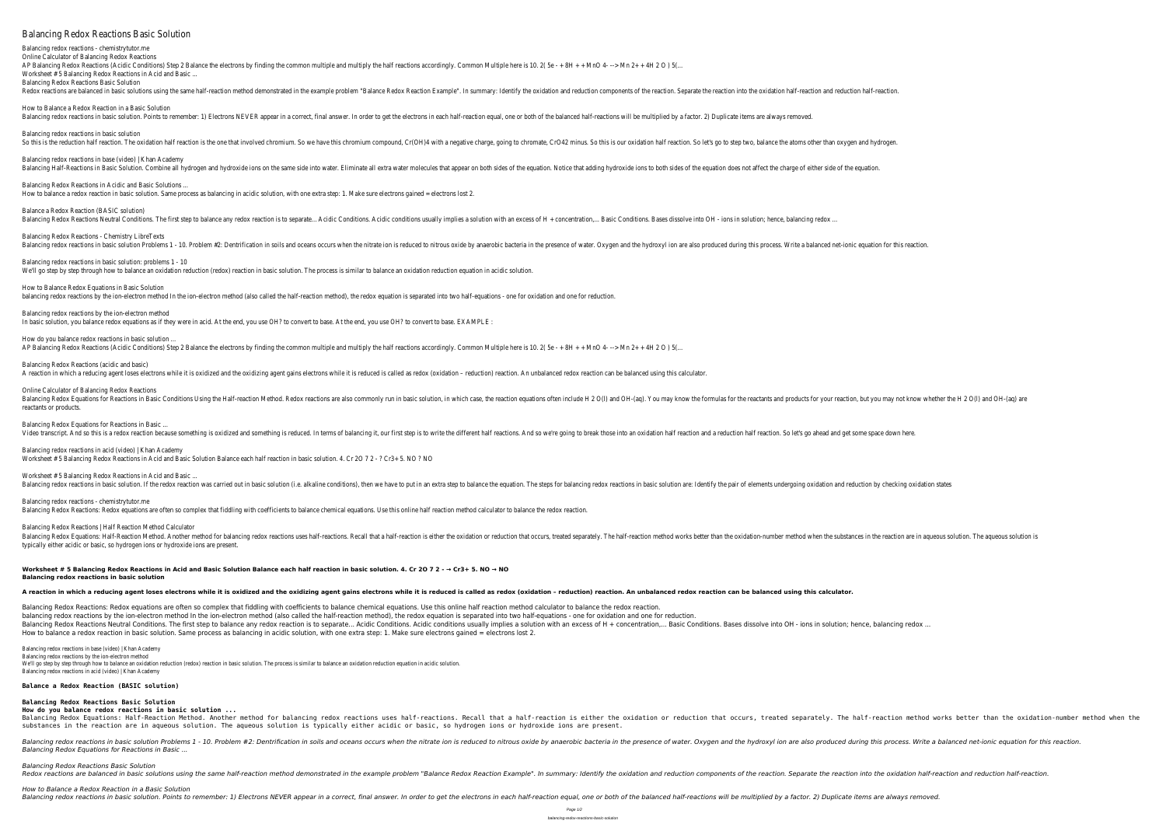## Balancing Redox Reactions Basic Solution

Balancing redox reactions - chemistrytutor.me Online Calculator of Balancing Redox Reactions AP Balancing Redox Reactions (Acidic Conditions) Step 2 Balance the electrons by finding the common multiple and multiply the half reactions accordingly. Common Multiple here is 10, 2( 5e - + 8H + + MnO 4- --> Mn 2+ + 4H 2 Worksheet # 5 Balancing Redox Reactions in Acid and Basic ... Balancing Redox Reactions Basic Solution

Balancing redox reactions in basic solution. Points to remember: 1) Electrons NEVER appear in a correct, final answer. In order to get the electrons in each half-reaction equal, one or both of the balanced half-reactions w

Redox reactions are balanced in basic solutions using the same half-reaction method demonstrated in the example problem "Balance Redox Reaction Example". In summary: Identify the oxidation and reduction. Separate the react How to Balance a Redox Reaction in a Basic Solution Balancing redox reactions in basic solution So this is the reduction half reaction. The oxidation half reaction is the one that involved chromium. So we have this chromium compound, Cr(OH)4 with a negative charge, going to chromate, CrO42 minus. So this is our oxida Balancing redox reactions in base (video) | Khan Academy Balancing Half-Reactions in Basic Solution. Combine all hydrogen and hydroxide ions on the same side into water. Eliminate all extra water molecules that appear on both sides of the equation. Notice that adding hydroxide i Balancing Redox Reactions in Acidic and Basic Solutions ... How to balance a redox reaction in basic solution. Same process as balancing in acidic solution, with one extra step: 1. Make sure electrons gained = electrons lost 2

How to Balance Redox Equations in Basic Solution balancing redox reactions by the ion-electron method In the ion-electron method (also called the half-reaction method), the redox equation is separated into two half-equations - one for oxidation and one for reduction.

Balancing redox reactions by the ion-electron method In basic solution, you balance redox equations as if they were in acid. At the end, you use OH? to base. At the end, you use OH? to convert to base. EXAMPLE

How do you balance redox reactions in basic solution ... AP Balancing Redox Reactions (Acidic Conditions) Step 2 Balance the electrons by finding the common multiple and multiply the half reactions accordingly. Common Multiple here is 10. 2 (5e - + 8H + + MnO 4- --> Mn 2+ + 4H 2

Balancing Redox Reactions (acidic and basic) A reaction in which a reducing agent loses electrons while it is oxidized and the oxidizing agent gains electrons while it is reduced is called as redox (oxidation - reduction) reaction. An unbalanced redox reaction can be

Balance a Redox Reaction (BASIC solution)

Balancing Redox Reactions Neutral Conditions. The first step to balance any redox reaction is to separate... Acidic Conditions. Acidic Conditions. Acidic conditions. Basic Conditions. Bases dissolve into OH - ions in solut Balancing Redox Reactions - Chemistry LibreTexts Balancing redox reactions in basic solution Problems 1 - 10. Problem #2: Dentrification in soils and oceans occurs when the nitrate ion is reduced to nitrous oxide by anaerobic bacteria in the hydroxyl ion are also produce Balancing redox reactions in basic solution: problems 1 - 10 We'll go step by step through how to balance an oxidation reduction (redox) reaction in basic solution. The process is similar to balance an oxidation reduction equation in acidic solution.

Worksheet # 5 Balancing Redox Reactions in Acid and Basic ... Balancing redox reactions in basic solution. If the redox reaction was carried out in basic solution (i.e. alkaline conditions), then we have to put in an extra step to balancing redox reactions in basic solution are: Iden

Balancing Redox Equations: Half-Reaction Method. Another method for balancing redox reactions uses half-reactions. Recall that a half-reaction is either the oxidation or reduction that occurs, treated separately. The halfsubstances in the reaction are in aqueous solution. The aqueous solution is typically either acidic or basic, so hydrogen ions or hydroxide ions are present.

Online Calculator of Balancing Redox Reactions Balancing Redox Equations for Reactions in Basic Conditions Using the Half-reaction Method. Redox reactions are also commonly run in basic solution, in which case, the reactants and products for your reaction, but you may reactants or products. Balancing Redox Equations for Reactions in Basic ...

Video transcript. And so this is a redox reaction because something is oxidized and something is reduced. In terms of balancing it, our first step is to write the different half reaction and a reduction half reaction. So l

Balancing redox reactions in basic solution Problems 1 - 10. Problem #2: Dentrification in soils and oceans occurs when the nitrate ion is reduced to nitrous oxide by anaerobic bacteria in the presence of water. Oxygen and *Balancing Redox Equations for Reactions in Basic ...*

*How to Balance a Redox Reaction in a Basic Solution* Balancing redox reactions in basic solution. Points to remember: 1) Electrons NEVER appear in a correct, final answer. In order to get the electrons in each half-reaction equal, one or both of the balanced half-reactions w

Redox reactions are balanced in basic solutions using the same half-reaction method demonstrated in the example problem "Balance Redox Reaction Example". In summary: Identify the oxidation and reduction. Separate the react

Balancing redox reactions in acid (video) | Khan Academy Worksheet # 5 Balancing Redox Reactions in Acid and Basic Solution Balance each half reaction in basic solution. 4. Cr 2O 7 2 - ? Cr3+ 5. NO ? NO

Balancing redox reactions - chemistrytutor.me Balancing Redox Reactions: Redox equations are often so complex that fiddling with coefficients to balance chemical equations. Use this online half reaction method calculator to balance the redox reaction.

Balancing Redox Reactions | Half Reaction Method Calculator Balancing Redox Equations: Half-Reaction Method. Another method for balancing redox reactions uses half-reactions. Recall that a half-reaction method works better than the oxidation-number method when the substances in the typically either acidic or basic, so hydrogen ions or hydroxide ions are present.

**Worksheet # 5 Balancing Redox Reactions in Acid and Basic Solution Balance each half reaction in basic solution. 4. Cr 2O 7 2 - → Cr3+ 5. NO → NO Balancing redox reactions in basic solution**

### A reaction in which a reducing agent loses electrons while it is oxidized and the oxidizing agent gains electrons while it is reduced is called as redox (oxidation - reduction) reaction. An unbalanced redox reaction can be

Balancing Redox Reactions: Redox equations are often so complex that fiddling with coefficients to balance chemical equations. Use this online half reaction method calculator to balance the redox reaction. balancing redox reactions by the ion-electron method In the ion-electron method (also called the half-reaction method), the redox equation is separated into two half-equations - one for oxidation and one for reduction. Balancing Redox Reactions Neutral Conditions. The first step to balance any redox reaction is to separate... Acidic Conditions. Acidic Conditions usually implies a solution with an excess of H + concentration,... Basic Con How to balance a redox reaction in basic solution. Same process as balancing in acidic solution, with one extra step: 1. Make sure electrons gained = electrons lost 2.

Balancing redox reactions in base (video) | Khan Academy

Balancing redox reactions by the ion-electron method We'll go step by step through how to balance an oxidation reduction (redox) reaction in basic solution. The process is similar to balance an oxidation reduction equation in acidic solution. Balancing redox reactions in acid (video) | Khan Academy

#### **Balance a Redox Reaction (BASIC solution)**

**Balancing Redox Reactions Basic Solution**

**How do you balance redox reactions in basic solution ...**

# *Balancing Redox Reactions Basic Solution*